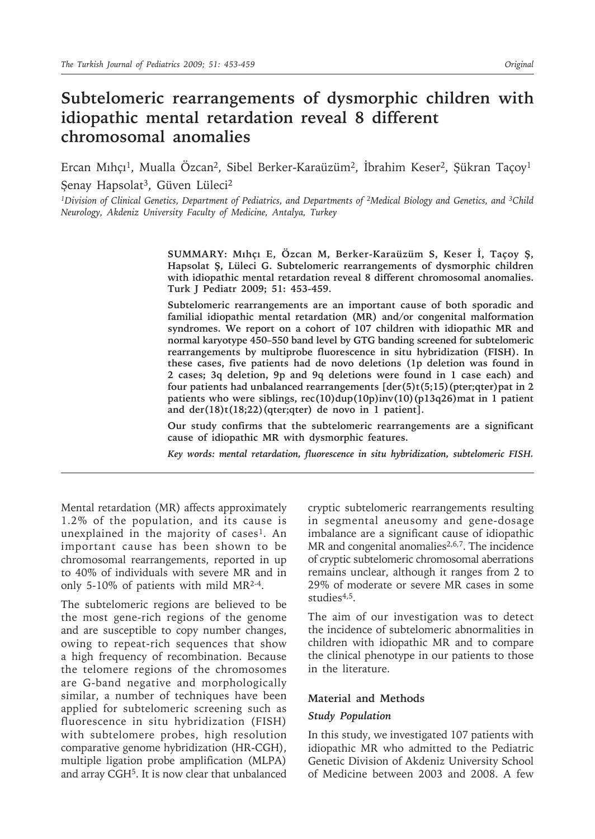# **Subtelomeric rearrangements of dysmorphic children with idiopathic mental retardation reveal 8 different chromosomal anomalies**

Ercan Mıhçı<sup>1</sup>, Mualla Özcan<sup>2</sup>, Sibel Berker-Karaüzüm<sup>2</sup>, İbrahim Keser<sup>2</sup>, Şükran Taçoy<sup>1</sup> Şenay Hapsolat<sup>3</sup>, Güven Lüleci<sup>2</sup>

*1Division of Clinical Genetics, Department of Pediatrics, and Departments of 2Medical Biology and Genetics, and 3Child Neurology, Akdeniz University Faculty of Medicine, Antalya, Turkey*

> **SUMMARY: Mıhçı E, Özcan M, Berker-Karaüzüm S, Keser İ, Taçoy Ş, Hapsolat Ş, Lüleci G. Subtelomeric rearrangements of dysmorphic children with idiopathic mental retardation reveal 8 different chromosomal anomalies. Turk J Pediatr 2009; 51: 453-459.**

> **Subtelomeric rearrangements are an important cause of both sporadic and familial idiopathic mental retardation (MR) and/or congenital malformation syndromes. We report on a cohort of 107 children with idiopathic MR and normal karyotype 450–550 band level by GTG banding screened for subtelomeric rearrangements by multiprobe fluorescence in situ hybridization (FISH). In these cases, five patients had de novo deletions (1p deletion was found in 2 cases; 3q deletion, 9p and 9q deletions were found in 1 case each) and four patients had unbalanced rearrangements [der(5)t(5;15)(pter;qter)pat in 2 patients who were siblings, rec(10)dup(10p)inv(10)(p13q26)mat in 1 patient and der(18)t(18;22)(qter;qter) de novo in 1 patient].**

> **Our study confirms that the subtelomeric rearrangements are a significant cause of idiopathic MR with dysmorphic features.**

> *Key words: mental retardation, fluorescence in situ hybridization, subtelomeric FISH.*

Mental retardation (MR) affects approximately 1.2% of the population, and its cause is unexplained in the majority of cases<sup>1</sup>. An important cause has been shown to be chromosomal rearrangements, reported in up to 40% of individuals with severe MR and in only 5-10% of patients with mild MR2-4.

The subtelomeric regions are believed to be the most gene-rich regions of the genome and are susceptible to copy number changes, owing to repeat-rich sequences that show a high frequency of recombination. Because the telomere regions of the chromosomes are G-band negative and morphologically similar, a number of techniques have been applied for subtelomeric screening such as fluorescence in situ hybridization (FISH) with subtelomere probes, high resolution comparative genome hybridization (HR-CGH), multiple ligation probe amplification (MLPA) and array CGH5. It is now clear that unbalanced

cryptic subtelomeric rearrangements resulting in segmental aneusomy and gene-dosage imbalance are a significant cause of idiopathic MR and congenital anomalies<sup>2,6,7</sup>. The incidence of cryptic subtelomeric chromosomal aberrations remains unclear, although it ranges from 2 to 29% of moderate or severe MR cases in some studies<sup>4,5</sup>.

The aim of our investigation was to detect the incidence of subtelomeric abnormalities in children with idiopathic MR and to compare the clinical phenotype in our patients to those in the literature.

#### **Material and Methods**

#### *Study Population*

In this study, we investigated 107 patients with idiopathic MR who admitted to the Pediatric Genetic Division of Akdeniz University School of Medicine between 2003 and 2008. A few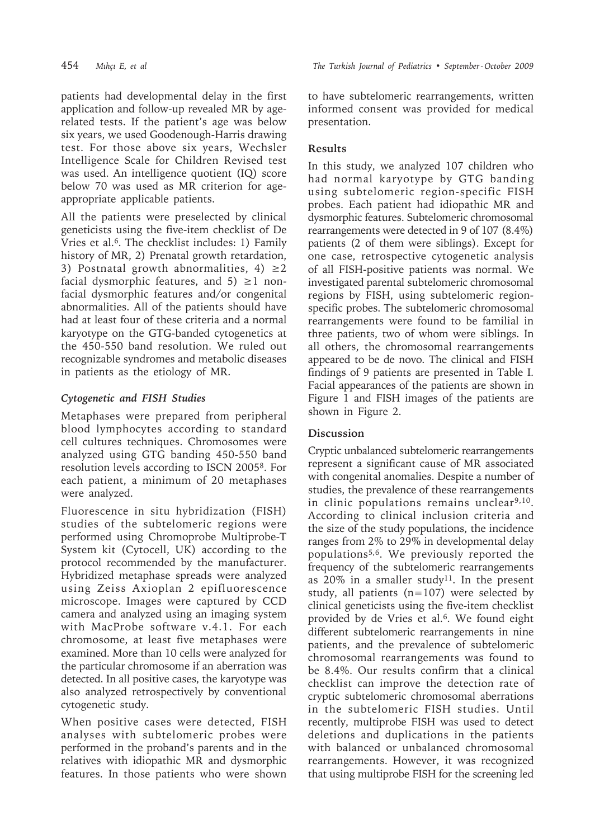patients had developmental delay in the first application and follow-up revealed MR by agerelated tests. If the patient's age was below six years, we used Goodenough-Harris drawing test. For those above six years, Wechsler Intelligence Scale for Children Revised test was used. An intelligence quotient (IQ) score below 70 was used as MR criterion for ageappropriate applicable patients.

All the patients were preselected by clinical geneticists using the five-item checklist of De Vries et al.6. The checklist includes: 1) Family history of MR, 2) Prenatal growth retardation, 3) Postnatal growth abnormalities, 4)  $\geq$ 2 facial dysmorphic features, and  $5) \geq 1$  nonfacial dysmorphic features and/or congenital abnormalities. All of the patients should have had at least four of these criteria and a normal karyotype on the GTG-banded cytogenetics at the 450-550 band resolution. We ruled out recognizable syndromes and metabolic diseases in patients as the etiology of MR.

### *Cytogenetic and FISH Studies*

Metaphases were prepared from peripheral blood lymphocytes according to standard cell cultures techniques. Chromosomes were analyzed using GTG banding 450-550 band resolution levels according to ISCN 20058. For each patient, a minimum of 20 metaphases were analyzed.

Fluorescence in situ hybridization (FISH) studies of the subtelomeric regions were performed using Chromoprobe Multiprobe-T System kit (Cytocell, UK) according to the protocol recommended by the manufacturer. Hybridized metaphase spreads were analyzed using Zeiss Axioplan 2 epifluorescence microscope. Images were captured by CCD camera and analyzed using an imaging system with MacProbe software v.4.1. For each chromosome, at least five metaphases were examined. More than 10 cells were analyzed for the particular chromosome if an aberration was detected. In all positive cases, the karyotype was also analyzed retrospectively by conventional cytogenetic study.

When positive cases were detected, FISH analyses with subtelomeric probes were performed in the proband's parents and in the relatives with idiopathic MR and dysmorphic features. In those patients who were shown

454 *Mıhçı E, et al The Turkish Journal of Pediatrics • September - October 2009*

to have subtelomeric rearrangements, written informed consent was provided for medical presentation.

### **Results**

In this study, we analyzed 107 children who had normal karyotype by GTG banding using subtelomeric region-specific FISH probes. Each patient had idiopathic MR and dysmorphic features. Subtelomeric chromosomal rearrangements were detected in 9 of 107 (8.4%) patients (2 of them were siblings). Except for one case, retrospective cytogenetic analysis of all FISH-positive patients was normal. We investigated parental subtelomeric chromosomal regions by FISH, using subtelomeric regionspecific probes. The subtelomeric chromosomal rearrangements were found to be familial in three patients, two of whom were siblings. In all others, the chromosomal rearrangements appeared to be de novo. The clinical and FISH findings of 9 patients are presented in Table I. Facial appearances of the patients are shown in Figure 1 and FISH images of the patients are shown in Figure 2.

## **Discussion**

Cryptic unbalanced subtelomeric rearrangements represent a significant cause of MR associated with congenital anomalies. Despite a number of studies, the prevalence of these rearrangements in clinic populations remains unclear<sup>9,10</sup>. According to clinical inclusion criteria and the size of the study populations, the incidence ranges from 2% to 29% in developmental delay populations5,6. We previously reported the frequency of the subtelomeric rearrangements as  $20\%$  in a smaller study<sup>11</sup>. In the present study, all patients  $(n=107)$  were selected by clinical geneticists using the five-item checklist provided by de Vries et al.<sup>6</sup>. We found eight different subtelomeric rearrangements in nine patients, and the prevalence of subtelomeric chromosomal rearrangements was found to be 8.4%. Our results confirm that a clinical checklist can improve the detection rate of cryptic subtelomeric chromosomal aberrations in the subtelomeric FISH studies. Until recently, multiprobe FISH was used to detect deletions and duplications in the patients with balanced or unbalanced chromosomal rearrangements. However, it was recognized that using multiprobe FISH for the screening led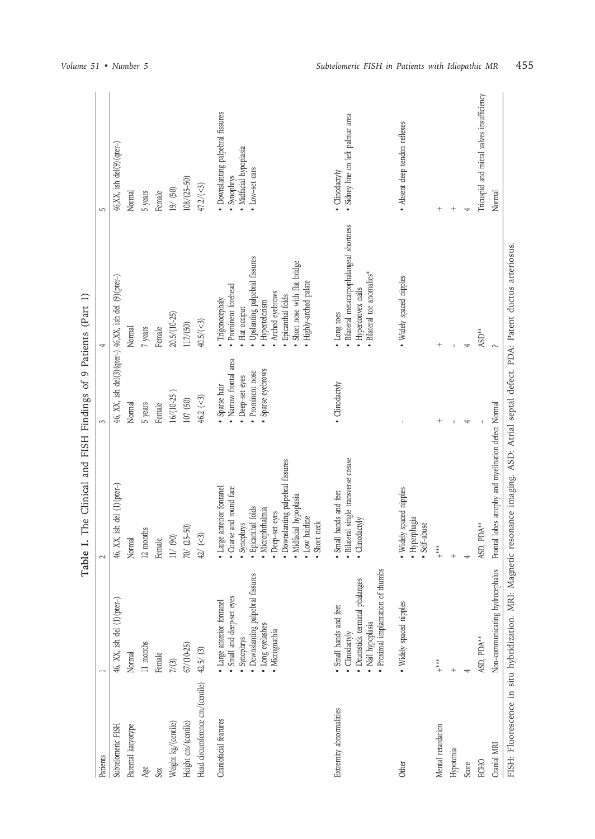|                                 |                                                                                                                                                | Table I. The Clinical and FISH Findings of                                                                                                                                                                          |                                                                                                    | 9 Patients (Part 1)                                                                                                                                                                                          |                                                                                              |
|---------------------------------|------------------------------------------------------------------------------------------------------------------------------------------------|---------------------------------------------------------------------------------------------------------------------------------------------------------------------------------------------------------------------|----------------------------------------------------------------------------------------------------|--------------------------------------------------------------------------------------------------------------------------------------------------------------------------------------------------------------|----------------------------------------------------------------------------------------------|
| Patients                        |                                                                                                                                                |                                                                                                                                                                                                                     |                                                                                                    |                                                                                                                                                                                                              | LC.                                                                                          |
| Subtelomeric FISH               | 46, XX, ish del (1)(pter-)                                                                                                                     | $46$ , XX, ish del $(1)(\text{pter}-)$                                                                                                                                                                              |                                                                                                    | 46, XX, ish del $(3)$ (qter-) 46,XX, ish del $(9)$ (pter-)                                                                                                                                                   | $46, XX$ , ish del $(9)$ (qter-)                                                             |
| Parental karyotype              | Normal                                                                                                                                         | Normal                                                                                                                                                                                                              | Normal                                                                                             | Normal                                                                                                                                                                                                       | Normal                                                                                       |
| Age                             | 11 months                                                                                                                                      | 12 months                                                                                                                                                                                                           | 5 years                                                                                            | 7 years                                                                                                                                                                                                      | 5 years                                                                                      |
| Sex                             | Female                                                                                                                                         | Female                                                                                                                                                                                                              | Female                                                                                             | Female                                                                                                                                                                                                       | Female                                                                                       |
| Weight kg/(centile)             | $7/ (3)$                                                                                                                                       | $11/$ (90)                                                                                                                                                                                                          | 16/(10-25                                                                                          | 20.5/(10-25)                                                                                                                                                                                                 | 19/ (50)                                                                                     |
| Height cm/(centile)             | $67/(10-25)$                                                                                                                                   | $70/ (25-50)$                                                                                                                                                                                                       | 107(50)                                                                                            | 117/(50)                                                                                                                                                                                                     | $108 / (25 - 50)$                                                                            |
| Head circumference cm/(centile) | $42.5/$ $(3)$                                                                                                                                  | $42/\ (-3)$                                                                                                                                                                                                         | $46.2 (-3)$                                                                                        | 40.5/(<3)                                                                                                                                                                                                    | $47.2 / (-3)$                                                                                |
| Craniofacial features           | · Downslanting palpebral fissures<br>• Large anterior fontanel<br>• Small and deep-set eyes<br>· Long eyelashes<br>· Micrognathia<br>Synophrys | Downslanting palpebral fissures<br>· Large anterior fontanel<br>• Coarse and round face<br>Midfacial hypoplasia<br>Epicanthal folds<br>Microphthalmia<br>Deep-set eyes<br>• Low hairline<br>Short neck<br>Synophrys | • Narrow frontal area<br>· Sparse eyebrows<br>• Prominent nose<br>• Deep-set eyes<br>· Sparse hair | · Upslanting palpebral fissures<br>Short nose with flat bridge<br>Highly-arched palate<br>· Prominent forehead<br>Arched eyebrows<br>Epicanthal folds<br>· Trigonocephaly<br>· Hypertelorism<br>Flat occiput | · Downslanting palpebral fissures<br>· Midfacial hypoplasia<br>• Low-set ears<br>· Synophrys |
| Extremity abnormalities         | · Proximal implantation of thumbs<br>· Drumstick terminal phalanges<br>Small hands and feet<br>· Nail hypoplasia<br>· Clinodactyly             | · Bilateral single transverse crease<br>Small hands and feet<br>· Clinodactyly                                                                                                                                      | · Clinodactyly                                                                                     | Bilateral metacarpophalangeal shortness<br>Bilateral toe anomalies*<br>· Hyperconvex nails<br>• Long toes                                                                                                    | · Sidney line on left palmar area<br>· Clinodactyly                                          |
| Other                           | • Widely spaced nipples                                                                                                                        | Widely spaced nipples<br>· Hyperphagia<br>Self-abuse                                                                                                                                                                |                                                                                                    | · Widely spaced nipples                                                                                                                                                                                      | • Absent deep tendon reflexes                                                                |
| Mental retardation              | $\stackrel{*}{\ast}$                                                                                                                           | $\stackrel{*}{\phantom{}_{\ast}}$                                                                                                                                                                                   |                                                                                                    | $^{+}$                                                                                                                                                                                                       |                                                                                              |
| Hypotonia                       |                                                                                                                                                |                                                                                                                                                                                                                     |                                                                                                    |                                                                                                                                                                                                              |                                                                                              |
| Score                           |                                                                                                                                                |                                                                                                                                                                                                                     | 4                                                                                                  | 4                                                                                                                                                                                                            |                                                                                              |
| ECHO                            | ASD, PDA**                                                                                                                                     | ASD, PDA**                                                                                                                                                                                                          |                                                                                                    | $\text{ASD}^{**}$                                                                                                                                                                                            | Tricuspid and mitral valves insufficiency                                                    |
| Cranial MRI                     | Non-communicating hydrocephalus                                                                                                                | Frontal lobes atrophy and myelination defect Normal                                                                                                                                                                 |                                                                                                    |                                                                                                                                                                                                              | Normal                                                                                       |
|                                 |                                                                                                                                                | FISH: Fluorescence in situ hybridization. MRI: Magnetic resonance imaging. ASD: Atrial septal defect. PDA: Patent ductus arteriosus.                                                                                |                                                                                                    |                                                                                                                                                                                                              |                                                                                              |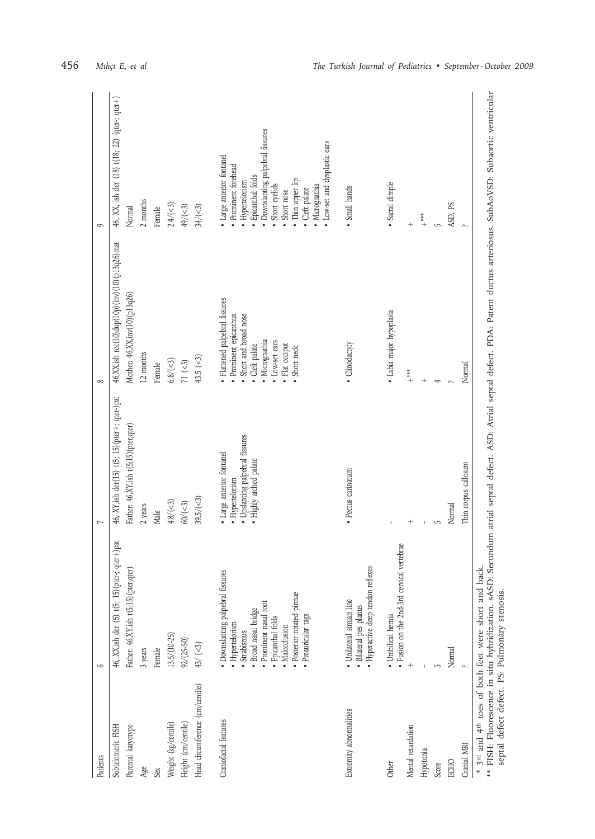| Patients                                      | $\circ$                                                                                                                                                                                                         | $\overline{ }$                                                                                            | $\infty$                                                                                                                                                                    | 9                                                                                                                                                                                                                                                     |
|-----------------------------------------------|-----------------------------------------------------------------------------------------------------------------------------------------------------------------------------------------------------------------|-----------------------------------------------------------------------------------------------------------|-----------------------------------------------------------------------------------------------------------------------------------------------------------------------------|-------------------------------------------------------------------------------------------------------------------------------------------------------------------------------------------------------------------------------------------------------|
|                                               |                                                                                                                                                                                                                 |                                                                                                           |                                                                                                                                                                             |                                                                                                                                                                                                                                                       |
| Subtelomeric FISH                             | 46, XX,ish der (5) t(5; 15) (pter-; qter+) pat                                                                                                                                                                  | 46, XY, ish der(15) t(5; 15) (pter+; qter-)pat                                                            | 46, XX.ish rec(10)dup(10p) (inv) (10) (p13q26)mat                                                                                                                           | 46, XX, ish der (18) t(18; 22) (qter-; qter+)                                                                                                                                                                                                         |
| Parental karyotype                            | Father: 46,XY.ish t(5;15) (pter; qter                                                                                                                                                                           | Father: 46,XY.ish t(5;15) (pter;qter)                                                                     | Mother: 46,XX, inv(10) (p13q26)                                                                                                                                             | Normal                                                                                                                                                                                                                                                |
| Age                                           | 3 years                                                                                                                                                                                                         | 2 years                                                                                                   | 12 months                                                                                                                                                                   | $2$ months $\,$                                                                                                                                                                                                                                       |
| Sex                                           | Female                                                                                                                                                                                                          | Male                                                                                                      | Female                                                                                                                                                                      | Female                                                                                                                                                                                                                                                |
| Weight (kg/centile)                           | $13.5/(10-25)$                                                                                                                                                                                                  | $4.8 / (-3)$                                                                                              | $6.8 / (-3)$                                                                                                                                                                | 2.4/(<3)                                                                                                                                                                                                                                              |
| Height (cm/centile)                           | $92/(25-50)$                                                                                                                                                                                                    | $60/(-3)$                                                                                                 | $71\; (\leq\! 3)$                                                                                                                                                           | $49/(-3)$                                                                                                                                                                                                                                             |
| Head circumference (cm/centile)               | $43/\ (-3)$                                                                                                                                                                                                     | 39.5/(<3)                                                                                                 | 43.5 $(3)$                                                                                                                                                                  | $34/(-3)$                                                                                                                                                                                                                                             |
| Craniofacial features                         | · Downslanting palpebral fissures<br>• Posterior rotated pinnae<br>· Prominent nasal root<br>Broad nasal bridge<br>· Preauricular tags<br>· Epicanthal folds<br>· Hypertelorism<br>· Malocclusion<br>Strabismus | · Upslanting palpebral fissures<br>· Large anterior fontanel<br>· Highly arched palate<br>· Hypertelorism | · Flattened palpebral fissures<br>· Prominent epicanthus<br>Short and broad nose<br>Micrognathia<br>Low-set ears<br>Cleft palate<br>Flat occiput<br>Short neck              | · Downslanting palpebral fissures<br>· Low-set and dysplastic ears<br>· Large anterior fontanel<br>Prominent forehead<br>· Epicanthal folds<br>· Thin upper lip<br>· Hypertelorism<br>Short eyelids<br>· Micrognathia<br>· Cleft palate<br>Short nose |
| Extremity abnormalities                       | · Hyperactive deep tendon reflexes<br>· Unilateral simian line<br>· Bilateral pes planus                                                                                                                        | • Pectus carinatum                                                                                        | · Clinodactyly                                                                                                                                                              | · Small hands                                                                                                                                                                                                                                         |
| Other                                         | vertebrae<br>• Fusion on the 2nd-3rd cervical<br>· Umbilical hernia                                                                                                                                             |                                                                                                           | · Labia major hypoplasia                                                                                                                                                    | · Sacral dimple                                                                                                                                                                                                                                       |
| Mental retardation                            |                                                                                                                                                                                                                 | $^{+}$                                                                                                    | $\overset{*}{+}$                                                                                                                                                            | $^{+}$                                                                                                                                                                                                                                                |
| Hypotonia                                     |                                                                                                                                                                                                                 |                                                                                                           |                                                                                                                                                                             | $+$                                                                                                                                                                                                                                                   |
| Score                                         |                                                                                                                                                                                                                 |                                                                                                           |                                                                                                                                                                             |                                                                                                                                                                                                                                                       |
| ECHO                                          | Normal                                                                                                                                                                                                          | Normal                                                                                                    |                                                                                                                                                                             | ASD, PS                                                                                                                                                                                                                                               |
| Cranial MRI                                   |                                                                                                                                                                                                                 | Thin corpus callosum                                                                                      | Normal                                                                                                                                                                      | $\sim$                                                                                                                                                                                                                                                |
| septal defect defect. PS: Pulmonary stenosis. | * 3 <sup>rd</sup> and 4 <sup>th</sup> toes of both feet were short and back                                                                                                                                     |                                                                                                           | ** FISH: Fluorescence in situ hybridization. sASD: Secundum atrial septal defect. ASD: Atrial septal defect. PDA: Patent ductus arteriosus. SubAoVSD: Subaortic ventricular |                                                                                                                                                                                                                                                       |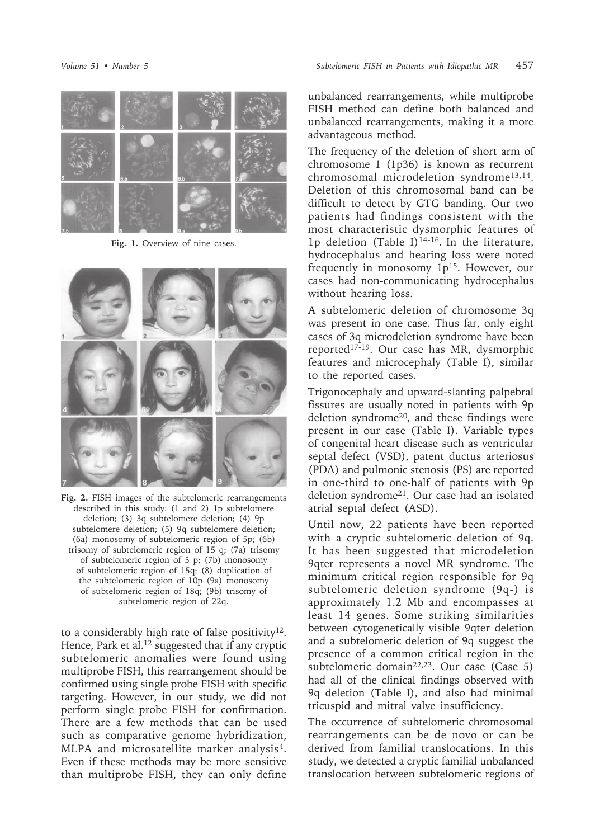

**Fig. 1.** Overview of nine cases.



**Fig. 2.** FISH images of the subtelomeric rearrangements described in this study: (1 and 2) 1p subtelomere deletion; (3) 3q subtelomere deletion; (4) 9p subtelomere deletion; (5) 9q subtelomere deletion; (6a) monosomy of subtelomeric region of 5p; (6b) trisomy of subtelomeric region of 15 q; (7a) trisomy of subtelomeric region of 5 p; (7b) monosomy of subtelomeric region of 15q; (8) duplication of the subtelomeric region of 10p (9a) monosomy of subtelomeric region of 18q; (9b) trisomy of subtelomeric region of 22q.

to a considerably high rate of false positivity<sup>12</sup>. Hence, Park et al.<sup>12</sup> suggested that if any cryptic subtelomeric anomalies were found using multiprobe FISH, this rearrangement should be confirmed using single probe FISH with specific targeting. However, in our study, we did not perform single probe FISH for confirmation. There are a few methods that can be used such as comparative genome hybridization, MLPA and microsatellite marker analysis<sup>4</sup>. Even if these methods may be more sensitive than multiprobe FISH, they can only define

unbalanced rearrangements, while multiprobe FISH method can define both balanced and unbalanced rearrangements, making it a more advantageous method.

The frequency of the deletion of short arm of chromosome 1 (1p36) is known as recurrent chromosomal microdeletion syndrome<sup>13,14</sup>. Deletion of this chromosomal band can be difficult to detect by GTG banding. Our two patients had findings consistent with the most characteristic dysmorphic features of 1p deletion (Table I)<sup>14-16</sup>. In the literature, hydrocephalus and hearing loss were noted frequently in monosomy  $1p^{15}$ . However, our cases had non-communicating hydrocephalus without hearing loss.

A subtelomeric deletion of chromosome 3q was present in one case. Thus far, only eight cases of 3q microdeletion syndrome have been reported17-19. Our case has MR, dysmorphic features and microcephaly (Table I), similar to the reported cases.

Trigonocephaly and upward-slanting palpebral fissures are usually noted in patients with 9p deletion syndrome<sup>20</sup>, and these findings were present in our case (Table I). Variable types of congenital heart disease such as ventricular septal defect (VSD), patent ductus arteriosus (PDA) and pulmonic stenosis (PS) are reported in one-third to one-half of patients with 9p deletion syndrome21. Our case had an isolated atrial septal defect (ASD).

Until now, 22 patients have been reported with a cryptic subtelomeric deletion of 9q. It has been suggested that microdeletion 9qter represents a novel MR syndrome. The minimum critical region responsible for 9q subtelomeric deletion syndrome (9q-) is approximately 1.2 Mb and encompasses at least 14 genes. Some striking similarities between cytogenetically visible 9qter deletion and a subtelomeric deletion of 9q suggest the presence of a common critical region in the subtelomeric domain<sup>22,23</sup>. Our case (Case 5) had all of the clinical findings observed with 9q deletion (Table I), and also had minimal tricuspid and mitral valve insufficiency.

The occurrence of subtelomeric chromosomal rearrangements can be de novo or can be derived from familial translocations. In this study, we detected a cryptic familial unbalanced translocation between subtelomeric regions of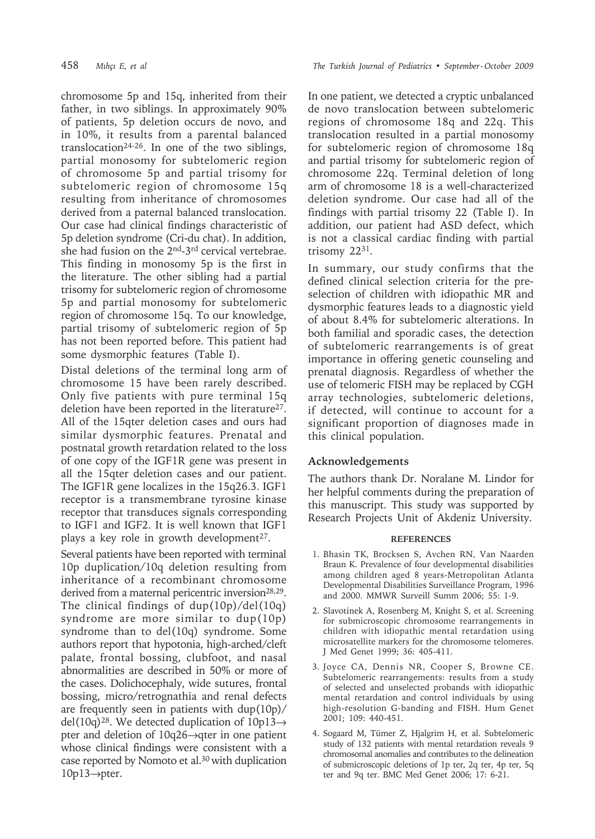chromosome 5p and 15q, inherited from their father, in two siblings. In approximately 90% of patients, 5p deletion occurs de novo, and in 10%, it results from a parental balanced translocation<sup>24-26</sup>. In one of the two siblings, partial monosomy for subtelomeric region of chromosome 5p and partial trisomy for subtelomeric region of chromosome 15q resulting from inheritance of chromosomes derived from a paternal balanced translocation. Our case had clinical findings characteristic of 5p deletion syndrome (Cri-du chat). In addition, she had fusion on the 2nd-3rd cervical vertebrae. This finding in monosomy 5p is the first in the literature. The other sibling had a partial trisomy for subtelomeric region of chromosome 5p and partial monosomy for subtelomeric region of chromosome 15q. To our knowledge, partial trisomy of subtelomeric region of 5p has not been reported before. This patient had some dysmorphic features (Table I).

Distal deletions of the terminal long arm of chromosome 15 have been rarely described. Only five patients with pure terminal 15q deletion have been reported in the literature<sup>27</sup>. All of the 15qter deletion cases and ours had similar dysmorphic features. Prenatal and postnatal growth retardation related to the loss of one copy of the IGF1R gene was present in all the 15qter deletion cases and our patient. The IGF1R gene localizes in the 15q26.3. IGF1 receptor is a transmembrane tyrosine kinase receptor that transduces signals corresponding to IGF1 and IGF2. It is well known that IGF1 plays a key role in growth development<sup>27</sup>.

Several patients have been reported with terminal 10p duplication/10q deletion resulting from inheritance of a recombinant chromosome derived from a maternal pericentric inversion<sup>28,29</sup>. The clinical findings of dup(10p)/del(10q) syndrome are more similar to dup(10p) syndrome than to del(10q) syndrome. Some authors report that hypotonia, high-arched/cleft palate, frontal bossing, clubfoot, and nasal abnormalities are described in 50% or more of the cases. Dolichocephaly, wide sutures, frontal bossing, micro/retrognathia and renal defects are frequently seen in patients with dup(10p)/ del(10q)<sup>28</sup>. We detected duplication of 10p13 $\rightarrow$ pter and deletion of 10q26→qter in one patient whose clinical findings were consistent with a case reported by Nomoto et al.30 with duplication  $10p13 \rightarrow$ pter.

In one patient, we detected a cryptic unbalanced de novo translocation between subtelomeric regions of chromosome 18q and 22q. This translocation resulted in a partial monosomy for subtelomeric region of chromosome 18q and partial trisomy for subtelomeric region of chromosome 22q. Terminal deletion of long arm of chromosome 18 is a well-characterized deletion syndrome. Our case had all of the findings with partial trisomy 22 (Table I). In addition, our patient had ASD defect, which is not a classical cardiac finding with partial trisomy 2231.

In summary, our study confirms that the defined clinical selection criteria for the preselection of children with idiopathic MR and dysmorphic features leads to a diagnostic yield of about 8.4% for subtelomeric alterations. In both familial and sporadic cases, the detection of subtelomeric rearrangements is of great importance in offering genetic counseling and prenatal diagnosis. Regardless of whether the use of telomeric FISH may be replaced by CGH array technologies, subtelomeric deletions, if detected, will continue to account for a significant proportion of diagnoses made in this clinical population.

### **Acknowledgements**

The authors thank Dr. Noralane M. Lindor for her helpful comments during the preparation of this manuscript. This study was supported by Research Projects Unit of Akdeniz University.

#### **REFERENCES**

- 1. Bhasin TK, Brocksen S, Avchen RN, Van Naarden Braun K. Prevalence of four developmental disabilities among children aged 8 years-Metropolitan Atlanta Developmental Disabilities Surveillance Program, 1996 and 2000. MMWR Surveill Summ 2006; 55: 1-9.
- 2. Slavotinek A, Rosenberg M, Knight S, et al. Screening for submicroscopic chromosome rearrangements in children with idiopathic mental retardation using microsatellite markers for the chromosome telomeres. J Med Genet 1999; 36: 405-411.
- 3. Joyce CA, Dennis NR, Cooper S, Browne CE. Subtelomeric rearrangements: results from a study of selected and unselected probands with idiopathic mental retardation and control individuals by using high-resolution G-banding and FISH. Hum Genet 2001; 109: 440-451.
- 4. Sogaard M, Tümer Z, Hjalgrim H, et al. Subtelomeric study of 132 patients with mental retardation reveals 9 chromosomal anomalies and contributes to the delineation of submicroscopic deletions of 1p ter, 2q ter, 4p ter, 5q ter and 9q ter. BMC Med Genet 2006; 17: 6-21.